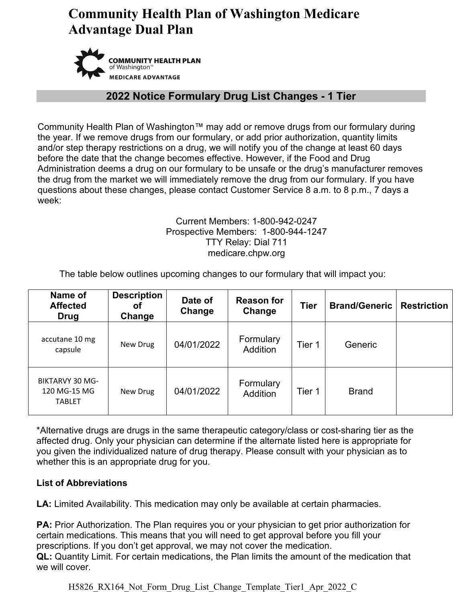# **Community Health Plan of Washington Medicare Advantage Dual Plan**



### **2022 Notice Formulary Drug List Changes - 1 Tier**

Community Health Plan of Washington™ may add or remove drugs from our formulary during the year. If we remove drugs from our formulary, or add prior authorization, quantity limits and/or step therapy restrictions on a drug, we will notify you of the change at least 60 days before the date that the change becomes effective. However, if the Food and Drug Administration deems a drug on our formulary to be unsafe or the drug's manufacturer removes the drug from the market we will immediately remove the drug from our formulary. If you have questions about these changes, please contact Customer Service 8 a.m. to 8 p.m., 7 days a week:

#### Current Members: 1-800-942-0247 Prospective Members: 1-800-944-1247 TTY Relay: Dial 711 medicare.chpw.org

The table below outlines upcoming changes to our formulary that will impact you:

| Name of<br><b>Affected</b><br><b>Drug</b>               | <b>Description</b><br>Οf<br>Change | Date of<br>Change | <b>Reason for</b><br>Change  | <b>Tier</b> | <b>Brand/Generic</b> | <b>Restriction</b> |
|---------------------------------------------------------|------------------------------------|-------------------|------------------------------|-------------|----------------------|--------------------|
| accutane 10 mg<br>capsule                               | New Drug                           | 04/01/2022        | Formulary<br><b>Addition</b> | Tier 1      | Generic              |                    |
| <b>BIKTARVY 30 MG-</b><br>120 MG-15 MG<br><b>TABLET</b> | New Drug                           | 04/01/2022        | Formulary<br><b>Addition</b> | Tier 1      | <b>Brand</b>         |                    |

\*Alternative drugs are drugs in the same therapeutic category/class or cost-sharing tier as the affected drug. Only your physician can determine if the alternate listed here is appropriate for you given the individualized nature of drug therapy. Please consult with your physician as to whether this is an appropriate drug for you.

### **List of Abbreviations**

**LA:** Limited Availability. This medication may only be available at certain pharmacies.

**PA:** Prior Authorization. The Plan requires you or your physician to get prior authorization for certain medications. This means that you will need to get approval before you fill your prescriptions. If you don't get approval, we may not cover the medication. **QL:** Quantity Limit. For certain medications, the Plan limits the amount of the medication that we will cover.

H5826 RX164 Not Form Drug List Change Template Tier1 Apr 2022 C